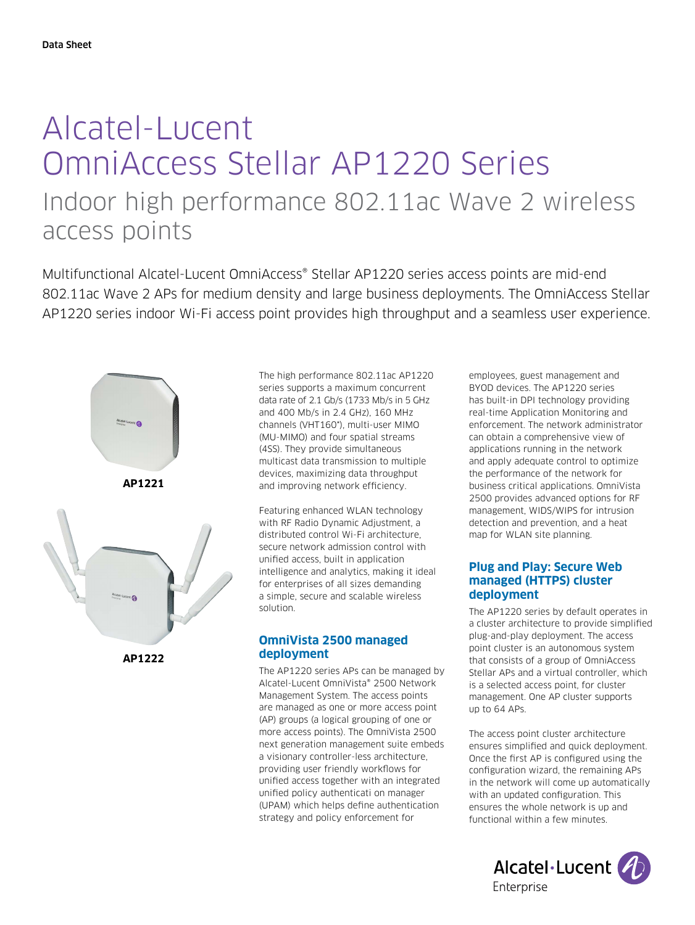# Alcatel-Lucent OmniAccess Stellar AP1220 Series Indoor high performance 802.11ac Wave 2 wireless access points

Multifunctional Alcatel-Lucent OmniAccess® Stellar AP1220 series access points are mid-end 802.11ac Wave 2 APs for medium density and large business deployments. The OmniAccess Stellar AP1220 series indoor Wi-Fi access point provides high throughput and a seamless user experience.



**AP1222**

The high performance 802.11ac AP1220 series supports a maximum concurrent data rate of 2.1 Gb/s (1733 Mb/s in 5 GHz and 400 Mb/s in 2.4 GHz), 160 MHz channels (VHT160\*), multi-user MIMO (MU-MIMO) and four spatial streams (4SS). They provide simultaneous multicast data transmission to multiple devices, maximizing data throughput and improving network efficiency.

Featuring enhanced WLAN technology with RF Radio Dynamic Adjustment, a distributed control Wi-Fi architecture, secure network admission control with unified access, built in application intelligence and analytics, making it ideal for enterprises of all sizes demanding a simple, secure and scalable wireless solution.

## **OmniVista 2500 managed deployment**

The AP1220 series APs can be managed by Alcatel-Lucent OmniVista® 2500 Network Management System. The access points are managed as one or more access point (AP) groups (a logical grouping of one or more access points). The OmniVista 2500 next generation management suite embeds a visionary controller-less architecture, providing user friendly workflows for unified access together with an integrated unified policy authenticati on manager (UPAM) which helps define authentication strategy and policy enforcement for

employees, guest management and BYOD devices. The AP1220 series has built-in DPI technology providing real-time Application Monitoring and enforcement. The network administrator can obtain a comprehensive view of applications running in the network and apply adequate control to optimize the performance of the network for business critical applications. OmniVista 2500 provides advanced options for RF management, WIDS/WIPS for intrusion detection and prevention, and a heat map for WLAN site planning.

# **Plug and Play: Secure Web managed (HTTPS) cluster deployment**

The AP1220 series by default operates in a cluster architecture to provide simplified plug-and-play deployment. The access point cluster is an autonomous system that consists of a group of OmniAccess Stellar APs and a virtual controller, which is a selected access point, for cluster management. One AP cluster supports up to 64 APs.

The access point cluster architecture ensures simplified and quick deployment. Once the first AP is configured using the configuration wizard, the remaining APs in the network will come up automatically with an updated configuration. This ensures the whole network is up and functional within a few minutes.

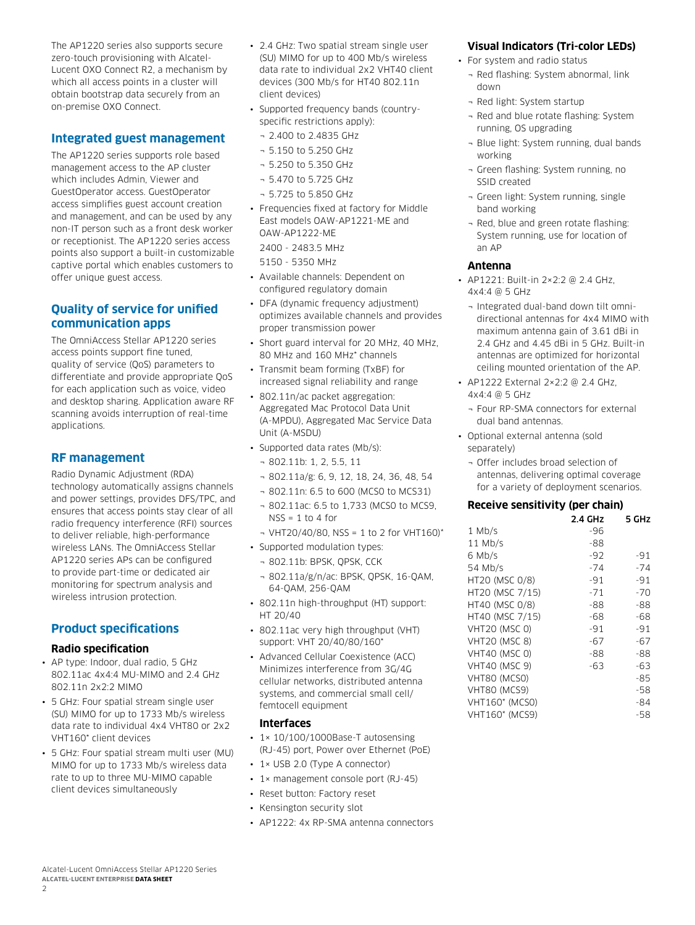The AP1220 series also supports secure zero-touch provisioning with Alcatel-Lucent OXO Connect R2, a mechanism by which all access points in a cluster will obtain bootstrap data securely from an on-premise OXO Connect.

# **Integrated guest management**

The AP1220 series supports role based management access to the AP cluster which includes Admin, Viewer and GuestOperator access. GuestOperator access simplifies guest account creation and management, and can be used by any non-IT person such as a front desk worker or receptionist. The AP1220 series access points also support a built-in customizable captive portal which enables customers to offer unique guest access.

# **Quality of service for unified communication apps**

The OmniAccess Stellar AP1220 series access points support fine tuned, quality of service (QoS) parameters to differentiate and provide appropriate QoS for each application such as voice, video and desktop sharing. Application aware RF scanning avoids interruption of real-time applications.

# **RF management**

Radio Dynamic Adjustment (RDA) technology automatically assigns channels and power settings, provides DFS/TPC, and ensures that access points stay clear of all radio frequency interference (RFI) sources to deliver reliable, high-performance wireless LANs. The OmniAccess Stellar AP1220 series APs can be configured to provide part-time or dedicated air monitoring for spectrum analysis and wireless intrusion protection.

# **Product specifications**

#### **Radio specification**

- AP type: Indoor, dual radio, 5 GHz 802.11ac 4x4:4 MU-MIMO and 2.4 GHz 802.11n 2x2:2 MIMO
- 5 GHz: Four spatial stream single user (SU) MIMO for up to 1733 Mb/s wireless data rate to individual 4x4 VHT80 or 2x2 VHT160\* client devices
- 5 GHz: Four spatial stream multi user (MU) MIMO for up to 1733 Mb/s wireless data rate to up to three MU-MIMO capable client devices simultaneously
- 2.4 GHz: Two spatial stream single user (SU) MIMO for up to 400 Mb/s wireless data rate to individual 2x2 VHT40 client devices (300 Mb/s for HT40 802.11n client devices)
- Supported frequency bands (countryspecific restrictions apply):
- ¬ 2.400 to 2.4835 GHz
- ¬ 5.150 to 5.250 GHz
- ¬ 5.250 to 5.350 GHz
- ¬ 5.470 to 5.725 GHz
- ¬ 5.725 to 5.850 GHz
- Frequencies fixed at factory for Middle East models OAW-AP1221-ME and OAW-AP1222-ME 2400 - 2483.5 MHz

5150 - 5350 MHz

- Available channels: Dependent on configured regulatory domain
- DFA (dynamic frequency adjustment) optimizes available channels and provides proper transmission power
- Short guard interval for 20 MHz, 40 MHz, 80 MHz and 160 MHz\* channels
- Transmit beam forming (TxBF) for increased signal reliability and range
- 802.11n/ac packet aggregation: Aggregated Mac Protocol Data Unit (A-MPDU), Aggregated Mac Service Data Unit (A-MSDU)
- Supported data rates (Mb/s):
	- ¬ 802.11b: 1, 2, 5.5, 11
	- ¬ 802.11a/g: 6, 9, 12, 18, 24, 36, 48, 54
	- ¬ 802.11n: 6.5 to 600 (MCS0 to MCS31)
	- ¬ 802.11ac: 6.5 to 1,733 (MCS0 to MCS9,  $NSS = 1$  to 4 for
	- $\neg$  VHT20/40/80, NSS = 1 to 2 for VHT160)\*
- Supported modulation types:
- ¬ 802.11b: BPSK, QPSK, CCK
- ¬ 802.11a/g/n/ac: BPSK, QPSK, 16-QAM, 64-QAM, 256-QAM
- 802.11n high-throughput (HT) support: HT 20/40
- 802.11ac very high throughput (VHT) support: VHT 20/40/80/160\*
- Advanced Cellular Coexistence (ACC) Minimizes interference from 3G/4G cellular networks, distributed antenna systems, and commercial small cell/ femtocell equipment

#### **Interfaces**

- 1× 10/100/1000Base-T autosensing (RJ-45) port, Power over Ethernet (PoE)
- 1× USB 2.0 (Type A connector)
- 1× management console port (RJ-45)
- Reset button: Factory reset
- Kensington security slot
- AP1222: 4x RP-SMA antenna connectors

### **Visual Indicators (Tri-color LEDs)**

- For system and radio status
	- ¬ Red flashing: System abnormal, link down
	- ¬ Red light: System startup
	- ¬ Red and blue rotate flashing: System running, OS upgrading
	- ¬ Blue light: System running, dual bands working
	- ¬ Green flashing: System running, no SSID created
	- ¬ Green light: System running, single band working
	- ¬ Red, blue and green rotate flashing: System running, use for location of an AP

#### **Antenna**

- AP1221: Built-in 2×2:2 @ 2.4 GHz,  $4x4.4$  @ 5 GHz
	- ¬ Integrated dual-band down tilt omnidirectional antennas for 4x4 MIMO with maximum antenna gain of 3.61 dBi in 2.4 GHz and 4.45 dBi in 5 GHz. Built-in antennas are optimized for horizontal ceiling mounted orientation of the AP.
- AP1222 External 2×2:2 @ 2.4 GHz, 4x4:4 @ 5 GHz
	- ¬ Four RP-SMA connectors for external dual band antennas.
- Optional external antenna (sold separately)
	- ¬ Offer includes broad selection of antennas, delivering optimal coverage for a variety of deployment scenarios.

#### **Receive sensitivity (per chain)**

|                       | 2.4 GHz | 5 GHz |
|-----------------------|---------|-------|
| $1$ Mb/s              | -96     |       |
| $11$ Mb/s             | -88     |       |
| 6 Mb/s                | -92     | $-91$ |
| 54 Mb/s               | $-74$   | $-74$ |
| HT20 (MSC 0/8)        | -91     | $-91$ |
| HT20 (MSC 7/15)       | $-71$   | $-70$ |
| HT40 (MSC 0/8)        | -88     | -88   |
| HT40 (MSC 7/15)       | -68     | -68   |
| <b>VHT20 (MSC 0)</b>  | -91     | -91   |
| <b>VHT20 (MSC 8)</b>  | $-67$   | $-67$ |
| <b>VHT40 (MSC 0)</b>  | -88     | -88   |
| <b>VHT40 (MSC 9)</b>  | $-63$   | $-63$ |
| VHT80 (MCSO)          |         | -85   |
| VHT80 (MCS9)          |         | -58   |
| <b>VHT160* (MCSO)</b> |         | -84   |
| VHT160* (MCS9)        |         | -58   |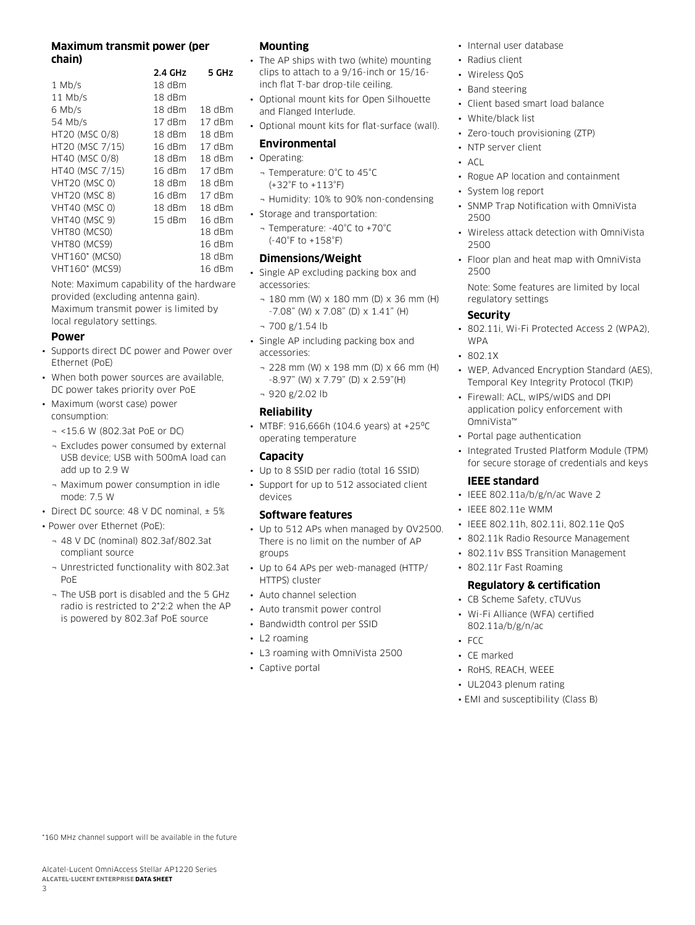### **Maximum transmit power (per chain)**

|                       | 2.4 GHz  | 5 GHz    |
|-----------------------|----------|----------|
| $1$ Mb/s              | 18 dBm   |          |
| $11$ Mb/s             | $18$ dBm |          |
| 6 Mb/s                | 18 dBm   | 18 dBm   |
| 54 Mb/s               | $17$ dBm | 17 dBm   |
| HT20 (MSC 0/8)        | 18 dBm   | 18 dBm   |
| HT20 (MSC 7/15)       | 16dBm    | $17$ dBm |
| HT40 (MSC 0/8)        | $18$ dBm | 18 dBm   |
| HT40 (MSC 7/15)       | 16 dBm   | 17 dBm   |
| <b>VHT20 (MSC 0)</b>  | 18 dBm   | 18 dBm   |
| <b>VHT20 (MSC 8)</b>  | 16dBm    | $17$ dBm |
| <b>VHT40 (MSC 0)</b>  | $18$ dBm | 18 dBm   |
| <b>VHT40 (MSC 9)</b>  | 15 dBm   | 16dBm    |
| VHT80 (MCSO)          |          | 18 dBm   |
| VHT80 (MCS9)          |          | 16dBm    |
| <b>VHT160* (MCSO)</b> |          | 18 dBm   |
| VHT160* (MCS9)        |          | 16 dBm   |

Note: Maximum capability of the hardware provided (excluding antenna gain). Maximum transmit power is limited by local regulatory settings.

#### **Power**

- Supports direct DC power and Power over Ethernet (PoE)
- When both power sources are available, DC power takes priority over PoE
- Maximum (worst case) power consumption:
	- ¬ <15.6 W (802.3at PoE or DC)
	- ¬ Excludes power consumed by external USB device; USB with 500mA load can add up to 2.9 W
	- ¬ Maximum power consumption in idle mode: 7.5 W
- Direct DC source: 48 V DC nominal, ± 5%
- Power over Ethernet (PoE):
	- ¬ 48 V DC (nominal) 802.3af/802.3at compliant source
	- ¬ Unrestricted functionality with 802.3at PoE
	- ¬ The USB port is disabled and the 5 GHz radio is restricted to 2\*2:2 when the AP is powered by 802.3af PoE source

#### **Mounting**

- The AP ships with two (white) mounting clips to attach to a 9/16-inch or 15/16 inch flat T-bar drop-tile ceiling.
- Optional mount kits for Open Silhouette and Flanged Interlude.
- Optional mount kits for flat-surface (wall).

#### **Environmental**

- Operating:
	- ¬ Temperature: 0°C to 45°C (+32°F to +113°F)
	- ¬ Humidity: 10% to 90% non-condensing
- Storage and transportation:
	- ¬ Temperature: -40°C to +70°C (-40°F to +158°F)

#### **Dimensions/Weight**

- Single AP excluding packing box and accessories:
	- ¬ 180 mm (W) x 180 mm (D) x 36 mm (H) -7.08" (W) x 7.08" (D) x 1.41" (H)
	- $-700$  g/1.54 lb
- Single AP including packing box and accessories:
	- ¬ 228 mm (W) x 198 mm (D) x 66 mm (H) -8.97" (W) x 7.79" (D) x 2.59"(H)
	- ¬ 920 g/2.02 lb

#### **Reliability**

• MTBF: 916,666h (104.6 years) at +25ºC operating temperature

## **Capacity**

- Up to 8 SSID per radio (total 16 SSID)
- Support for up to 512 associated client devices

#### **Software features**

- Up to 512 APs when managed by OV2500. There is no limit on the number of AP groups
- Up to 64 APs per web-managed (HTTP/ HTTPS) cluster
- Auto channel selection
- Auto transmit power control
- Bandwidth control per SSID
- L2 roaming
- L3 roaming with OmniVista 2500
- Captive portal
- Internal user database
- Radius client
- Wireless QoS
- Band steering
- Client based smart load balance
- White/black list
- Zero-touch provisioning (ZTP)
- NTP server client
- $\overline{A}$
- Rogue AP location and containment
- System log report
- SNMP Trap Notification with OmniVista 2500
- Wireless attack detection with OmniVista 2500
- Floor plan and heat map with OmniVista 2500
- Note: Some features are limited by local regulatory settings

#### **Security**

- 802.11i, Wi-Fi Protected Access 2 (WPA2), WPA
- 802.1X
- WEP, Advanced Encryption Standard (AES), Temporal Key Integrity Protocol (TKIP)
- Firewall: ACL, wIPS/wIDS and DPI application policy enforcement with OmniVista™
- Portal page authentication
- Integrated Trusted Platform Module (TPM) for secure storage of credentials and keys

#### **IEEE standard**

- IEEE 802.11a/b/g/n/ac Wave 2
- IEEE 802.11e WMM
- IEEE 802.11h, 802.11i, 802.11e QoS
- 802.11k Radio Resource Management
- 802.11v BSS Transition Management
- 802.11r Fast Roaming

# **Regulatory & certification**

- CB Scheme Safety, cTUVus
- Wi-Fi Alliance (WFA) certified 802.11a/b/g/n/ac
- FCC
- CE marked
- RoHS, REACH, WEEE
- UL2043 plenum rating
- EMI and susceptibility (Class B)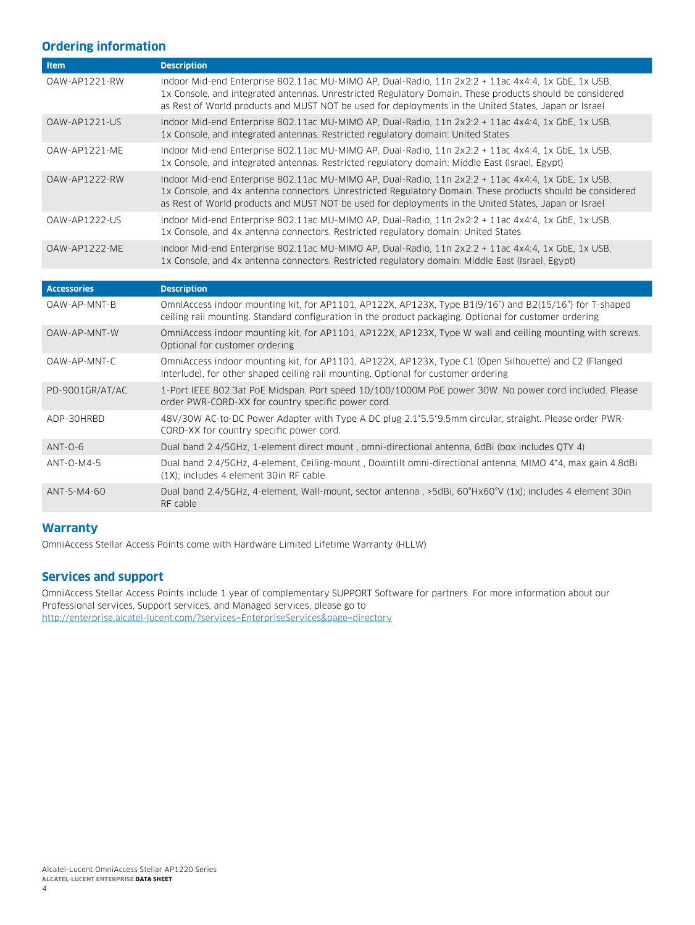# **Ordering information**

| Item                | <b>Description</b>                                                                                                                                                                                                                                                                                                       |
|---------------------|--------------------------------------------------------------------------------------------------------------------------------------------------------------------------------------------------------------------------------------------------------------------------------------------------------------------------|
| OAW-AP1221-RW       | Indoor Mid-end Enterprise 802.11ac MU-MIMO AP, Dual-Radio, 11n 2x2:2 + 11ac 4x4:4, 1x GbE, 1x USB,<br>1x Console, and integrated antennas. Unrestricted Regulatory Domain. These products should be considered<br>as Rest of World products and MUST NOT be used for deployments in the United States, Japan or Israel   |
| OAW-AP1221-US       | Indoor Mid-end Enterprise 802.11ac MU-MIMO AP, Dual-Radio, 11n 2x2:2 + 11ac 4x4:4, 1x GbE, 1x USB,<br>1x Console, and integrated antennas. Restricted regulatory domain: United States                                                                                                                                   |
| OAW-AP1221-ME       | Indoor Mid-end Enterprise 802.11ac MU-MIMO AP, Dual-Radio, 11n 2x2:2 + 11ac 4x4:4, 1x GbE, 1x USB,<br>1x Console, and integrated antennas. Restricted regulatory domain: Middle East (Israel, Egypt)                                                                                                                     |
| 0AW-AP1222-RW       | Indoor Mid-end Enterprise 802.11ac MU-MIMO AP, Dual-Radio, 11n 2x2:2 + 11ac 4x4:4, 1x GbE, 1x USB,<br>1x Console, and 4x antenna connectors. Unrestricted Regulatory Domain. These products should be considered<br>as Rest of World products and MUST NOT be used for deployments in the United States, Japan or Israel |
| OAW-AP1222-US       | Indoor Mid-end Enterprise 802.11ac MU-MIMO AP, Dual-Radio, 11n 2x2:2 + 11ac 4x4:4, 1x GbE, 1x USB,<br>1x Console, and 4x antenna connectors. Restricted regulatory domain: United States                                                                                                                                 |
| OAW-AP1222-ME       | Indoor Mid-end Enterprise 802.11ac MU-MIMO AP, Dual-Radio, 11n 2x2:2 + 11ac 4x4:4, 1x GbE, 1x USB,<br>1x Console, and 4x antenna connectors. Restricted regulatory domain: Middle East (Israel, Egypt)                                                                                                                   |
|                     |                                                                                                                                                                                                                                                                                                                          |
|                     |                                                                                                                                                                                                                                                                                                                          |
| <b>Accessories</b>  | <b>Description</b>                                                                                                                                                                                                                                                                                                       |
| OAW-AP-MNT-B        | OmniAccess indoor mounting kit, for AP1101, AP122X, AP123X, Type B1(9/16") and B2(15/16") for T-shaped<br>ceiling rail mounting. Standard configuration in the product packaging. Optional for customer ordering                                                                                                         |
| <b>OAW-AP-MNT-W</b> | OmniAccess indoor mounting kit, for AP1101, AP122X, AP123X, Type W wall and ceiling mounting with screws.<br>Optional for customer ordering                                                                                                                                                                              |
| OAW-AP-MNT-C        | OmniAccess indoor mounting kit, for AP1101, AP122X, AP123X, Type C1 (Open Silhouette) and C2 (Flanged<br>Interlude), for other shaped ceiling rail mounting. Optional for customer ordering                                                                                                                              |
| PD-9001GR/AT/AC     | 1-Port IEEE 802.3at PoE Midspan. Port speed 10/100/1000M PoE power 30W. No power cord included. Please<br>order PWR-CORD-XX for country specific power cord.                                                                                                                                                             |
| ADP-30HRBD          | 48V/30W AC-to-DC Power Adapter with Type A DC plug 2.1*5.5*9.5mm circular, straight. Please order PWR-<br>CORD-XX for country specific power cord.                                                                                                                                                                       |
| $ANT-O-6$           | Dual band 2.4/5GHz, 1-element direct mount, omni-directional antenna, 6dBi (box includes QTY 4)                                                                                                                                                                                                                          |
| ANT-0-M4-5          | Dual band 2.4/5GHz, 4-element, Ceiling-mount, Downtilt omni-directional antenna, MIMO 4*4, max gain 4.8dBi<br>(1X); includes 4 element 30in RF cable                                                                                                                                                                     |

### **Warranty**

OmniAccess Stellar Access Points come with Hardware Limited Lifetime Warranty (HLLW)

# **Services and support**

OmniAccess Stellar Access Points include 1 year of complementary SUPPORT Software for partners. For more information about our Professional services, Support services, and Managed services, please go to <http://enterprise.alcatel-lucent.com/?services=EnterpriseServices&page=directory>